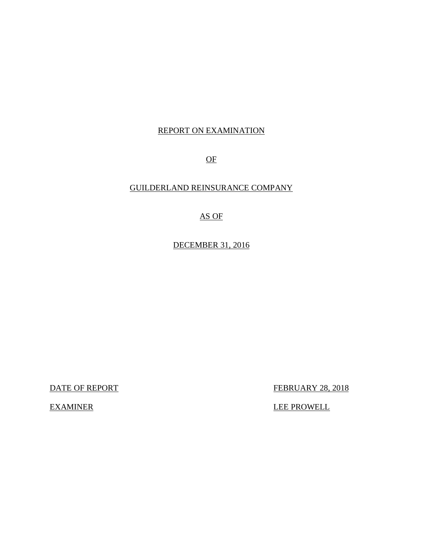# REPORT ON EXAMINATION

OF

# GUILDERLAND REINSURANCE COMPANY

# AS OF

DECEMBER 31, 2016

DATE OF REPORT FEBRUARY 28, 2018

EXAMINER LEE PROWELL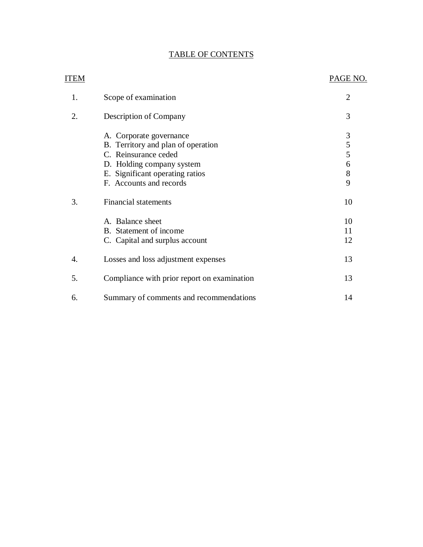# TABLE OF CONTENTS

| <b>ITEM</b> |                                             | PAGE NO.       |
|-------------|---------------------------------------------|----------------|
| 1.          | Scope of examination                        | $\overline{2}$ |
| 2.          | Description of Company                      | 3              |
|             | A. Corporate governance                     | $\mathfrak{Z}$ |
|             | B. Territory and plan of operation          | 5              |
|             | C. Reinsurance ceded                        | 5              |
|             | D. Holding company system                   | 6              |
|             | E. Significant operating ratios             | 8              |
|             | F. Accounts and records                     | 9              |
| 3.          | <b>Financial statements</b>                 | 10             |
|             | A. Balance sheet                            | 10             |
|             | B. Statement of income                      | 11             |
|             | C. Capital and surplus account              | 12             |
| 4.          | Losses and loss adjustment expenses         | 13             |
| 5.          | Compliance with prior report on examination | 13             |
| 6.          | Summary of comments and recommendations     | 14             |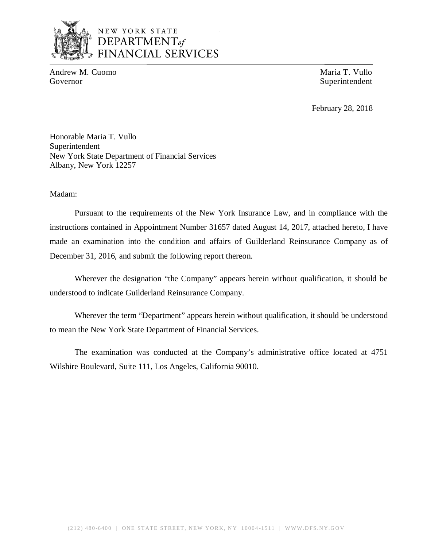

# NEW YORK STATE *DEPARTMENTof*  FINANCIAL SERVICES

Andrew M. Cuomo **Maria T. Vullo** Maria T. Vullo Governor Superintendent Superintendent Superintendent Superintendent Superintendent

February 28, 2018

Honorable Maria T. Vullo Superintendent New York State Department of Financial Services Albany, New York 12257

Madam:

Pursuant to the requirements of the New York Insurance Law, and in compliance with the instructions contained in Appointment Number 31657 dated August 14, 2017, attached hereto, I have made an examination into the condition and affairs of Guilderland Reinsurance Company as of December 31, 2016, and submit the following report thereon.

Wherever the designation "the Company" appears herein without qualification, it should be understood to indicate Guilderland Reinsurance Company.

Wherever the term "Department" appears herein without qualification, it should be understood to mean the New York State Department of Financial Services.

The examination was conducted at the Company's administrative office located at 4751 Wilshire Boulevard, Suite 111, Los Angeles, California 90010.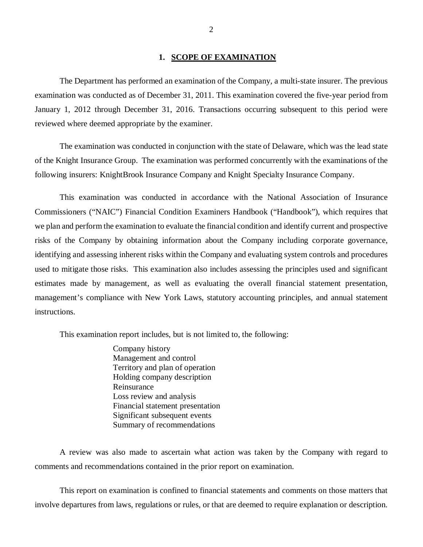## **1. SCOPE OF EXAMINATION**

The Department has performed an examination of the Company*,* a multi-state insurer. The previous examination was conducted as of December 31, 2011. This examination covered the five-year period from January 1, 2012 through December 31, 2016. Transactions occurring subsequent to this period were reviewed where deemed appropriate by the examiner.

The examination was conducted in conjunction with the state of Delaware, which was the lead state of the Knight Insurance Group. The examination was performed concurrently with the examinations of the following insurers: KnightBrook Insurance Company and Knight Specialty Insurance Company.

This examination was conducted in accordance with the National Association of Insurance Commissioners ("NAIC") Financial Condition Examiners Handbook ("Handbook"), which requires that we plan and perform the examination to evaluate the financial condition and identify current and prospective risks of the Company by obtaining information about the Company including corporate governance, identifying and assessing inherent risks within the Company and evaluating system controls and procedures used to mitigate those risks. This examination also includes assessing the principles used and significant estimates made by management, as well as evaluating the overall financial statement presentation, management's compliance with New York Laws, statutory accounting principles, and annual statement instructions.

This examination report includes, but is not limited to, the following:

Company history Management and control Territory and plan of operation Holding company description Reinsurance Loss review and analysis Financial statement presentation Significant subsequent events Summary of recommendations

A review was also made to ascertain what action was taken by the Company with regard to comments and recommendations contained in the prior report on examination.

This report on examination is confined to financial statements and comments on those matters that involve departures from laws, regulations or rules, or that are deemed to require explanation or description.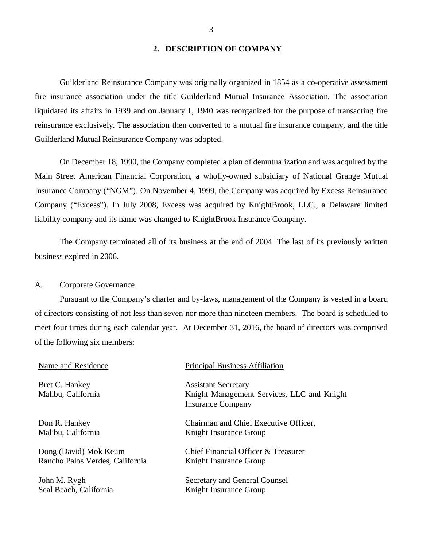## **2. DESCRIPTION OF COMPANY**

<span id="page-4-0"></span>Guilderland Reinsurance Company was originally organized in 1854 as a co-operative assessment fire insurance association under the title Guilderland Mutual Insurance Association. The association liquidated its affairs in 1939 and on January 1, 1940 was reorganized for the purpose of transacting fire reinsurance exclusively. The association then converted to a mutual fire insurance company, and the title Guilderland Mutual Reinsurance Company was adopted.

On December 18, 1990, the Company completed a plan of demutualization and was acquired by the Main Street American Financial Corporation, a wholly-owned subsidiary of National Grange Mutual Insurance Company ("NGM"). On November 4, 1999, the Company was acquired by Excess Reinsurance Company ("Excess"). In July 2008, Excess was acquired by KnightBrook, LLC., a Delaware limited liability company and its name was changed to KnightBrook Insurance Company.

The Company terminated all of its business at the end of 2004. The last of its previously written business expired in 2006.

## A. Corporate Governance

Pursuant to the Company's charter and by-laws, management of the Company is vested in a board of directors consisting of not less than seven nor more than nineteen members. The board is scheduled to meet four times during each calendar year. At December 31, 2016, the board of directors was comprised of the following six members:

| Name and Residence                   | <b>Principal Business Affiliation</b>                                    |
|--------------------------------------|--------------------------------------------------------------------------|
| Bret C. Hankey<br>Malibu, California | <b>Assistant Secretary</b><br>Knight Management Services, LLC and Knight |
|                                      | <b>Insurance Company</b>                                                 |
| Don R. Hankey                        | Chairman and Chief Executive Officer,                                    |
| Malibu, California                   | Knight Insurance Group                                                   |
| Dong (David) Mok Keum                | Chief Financial Officer & Treasurer                                      |
| Rancho Palos Verdes, California      | Knight Insurance Group                                                   |

John M. Rygh Secretary and General Counsel Seal Beach, California Knight Insurance Group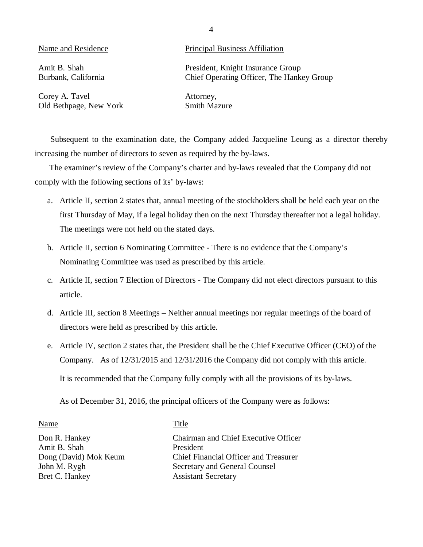Amit B. Shah Burbank, California

## Name and Residence Principal Business Affiliation

President, Knight Insurance Group Chief Operating Officer, The Hankey Group

Corey A. Tavel Old Bethpage, New York Attorney, Smith Mazure

Subsequent to the examination date, the Company added Jacqueline Leung as a director thereby increasing the number of directors to seven as required by the by-laws.

The examiner's review of the Company's charter and by-laws revealed that the Company did not comply with the following sections of its' by-laws:

- a. Article II, section 2 states that, annual meeting of the stockholders shall be held each year on the first Thursday of May, if a legal holiday then on the next Thursday thereafter not a legal holiday. The meetings were not held on the stated days.
- b. Article II, section 6 Nominating Committee There is no evidence that the Company's Nominating Committee was used as prescribed by this article.
- c. Article II, section 7 Election of Directors The Company did not elect directors pursuant to this article.
- d. Article III, section 8 Meetings Neither annual meetings nor regular meetings of the board of directors were held as prescribed by this article.
- e. Article IV, section 2 states that, the President shall be the Chief Executive Officer (CEO) of the Company. As of 12/31/2015 and 12/31/2016 the Company did not comply with this article.

It is recommended that the Company fully comply with all the provisions of its by-laws.

As of December 31, 2016, the principal officers of the Company were as follows:

Name Title Don R. Hankey Chairman and Chief Executive Officer Amit B. Shah President Dong (David) Mok Keum Chief Financial Officer and Treasurer John M. Rygh Secretary and General Counsel Bret C. Hankey Assistant Secretary

4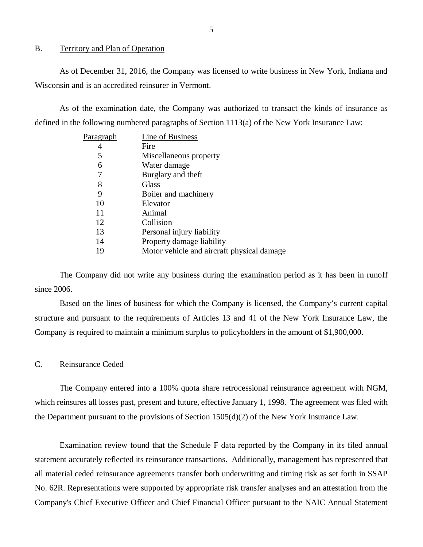## <span id="page-6-0"></span>B. Territory and Plan of Operation

As of December 31, 2016, the Company was licensed to write business in New York, Indiana and Wisconsin and is an accredited reinsurer in Vermont.

As of the examination date, the Company was authorized to transact the kinds of insurance as defined in the following numbered paragraphs of Section 1113(a) of the New York Insurance Law:

| P <u>aragraph</u> | Line of Business                           |
|-------------------|--------------------------------------------|
| 4                 | Fire                                       |
| 5                 | Miscellaneous property                     |
| 6                 | Water damage                               |
|                   | Burglary and theft                         |
| 8                 | Glass                                      |
| 9                 | Boiler and machinery                       |
| 10                | Elevator                                   |
| 11                | Animal                                     |
| 12                | Collision                                  |
| 13                | Personal injury liability                  |
| 14                | Property damage liability                  |
| 19                | Motor vehicle and aircraft physical damage |
|                   |                                            |

The Company did not write any business during the examination period as it has been in runoff since 2006.

Based on the lines of business for which the Company is licensed, the Company's current capital structure and pursuant to the requirements of Articles 13 and 41 of the New York Insurance Law, the Company is required to maintain a minimum surplus to policyholders in the amount of \$1,900,000.

## C. Reinsurance Ceded

The Company entered into a 100% quota share retrocessional reinsurance agreement with NGM, which reinsures all losses past, present and future, effective January 1, 1998. The agreement was filed with the Department pursuant to the provisions of Section 1505(d)(2) of the New York Insurance Law.

Examination review found that the Schedule F data reported by the Company in its filed annual statement accurately reflected its reinsurance transactions. Additionally, management has represented that all material ceded reinsurance agreements transfer both underwriting and timing risk as set forth in SSAP No. 62R. Representations were supported by appropriate risk transfer analyses and an attestation from the Company's Chief Executive Officer and Chief Financial Officer pursuant to the NAIC Annual Statement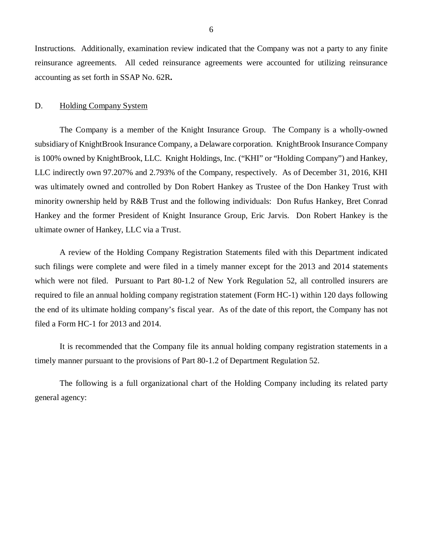<span id="page-7-0"></span>Instructions. Additionally, examination review indicated that the Company was not a party to any finite reinsurance agreements. All ceded reinsurance agreements were accounted for utilizing reinsurance accounting as set forth in SSAP No. 62R**.** 

## D. Holding Company System

The Company is a member of the Knight Insurance Group. The Company is a wholly-owned subsidiary of KnightBrook Insurance Company, a Delaware corporation. KnightBrook Insurance Company is 100% owned by KnightBrook, LLC. Knight Holdings, Inc. ("KHI" or "Holding Company") and Hankey, LLC indirectly own 97.207% and 2.793% of the Company, respectively. As of December 31, 2016, KHI was ultimately owned and controlled by Don Robert Hankey as Trustee of the Don Hankey Trust with minority ownership held by R&B Trust and the following individuals: Don Rufus Hankey, Bret Conrad Hankey and the former President of Knight Insurance Group, Eric Jarvis. Don Robert Hankey is the ultimate owner of Hankey, LLC via a Trust.

A review of the Holding Company Registration Statements filed with this Department indicated such filings were complete and were filed in a timely manner except for the 2013 and 2014 statements which were not filed. Pursuant to Part 80-1.2 of New York Regulation 52, all controlled insurers are required to file an annual holding company registration statement (Form HC-1) within 120 days following the end of its ultimate holding company's fiscal year. As of the date of this report, the Company has not filed a Form HC-1 for 2013 and 2014.

It is recommended that the Company file its annual holding company registration statements in a timely manner pursuant to the provisions of Part 80-1.2 of Department Regulation 52.

The following is a full organizational chart of the Holding Company including its related party general agency: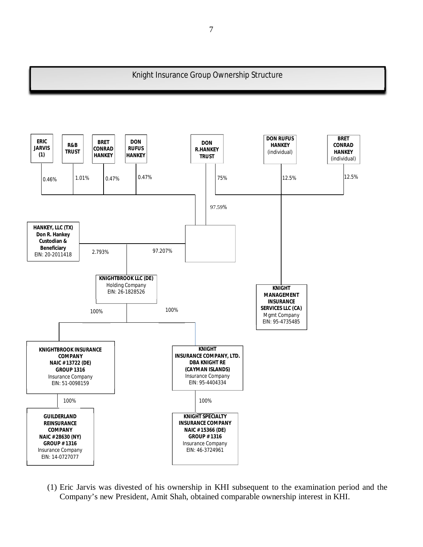## Knight Insurance Group Ownership Structure

I



(1) Eric Jarvis was divested of his ownership in KHI subsequent to the examination period and the Company's new President, Amit Shah, obtained comparable ownership interest in KHI.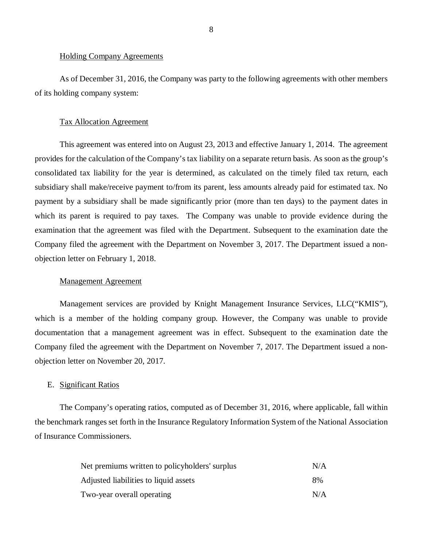### Holding Company Agreements

As of December 31, 2016, the Company was party to the following agreements with other members of its holding company system:

## Tax Allocation Agreement

This agreement was entered into on August 23, 2013 and effective January 1, 2014. The agreement provides for the calculation of the Company's tax liability on a separate return basis. As soon as the group's consolidated tax liability for the year is determined, as calculated on the timely filed tax return, each subsidiary shall make/receive payment to/from its parent, less amounts already paid for estimated tax. No payment by a subsidiary shall be made significantly prior (more than ten days) to the payment dates in which its parent is required to pay taxes. The Company was unable to provide evidence during the examination that the agreement was filed with the Department. Subsequent to the examination date the Company filed the agreement with the Department on November 3, 2017. The Department issued a nonobjection letter on February 1, 2018.

## Management Agreement

Management services are provided by Knight Management Insurance Services, LLC("KMIS"), which is a member of the holding company group. However, the Company was unable to provide documentation that a management agreement was in effect. Subsequent to the examination date the Company filed the agreement with the Department on November 7, 2017. The Department issued a nonobjection letter on November 20, 2017.

### E. Significant Ratios

The Company's operating ratios, computed as of December 31, 2016, where applicable, fall within the benchmark ranges set forth in the Insurance Regulatory Information System of the National Association of Insurance Commissioners.

| Net premiums written to policyholders' surplus | N/A |
|------------------------------------------------|-----|
| Adjusted liabilities to liquid assets          | 8%  |
| Two-year overall operating                     | N/A |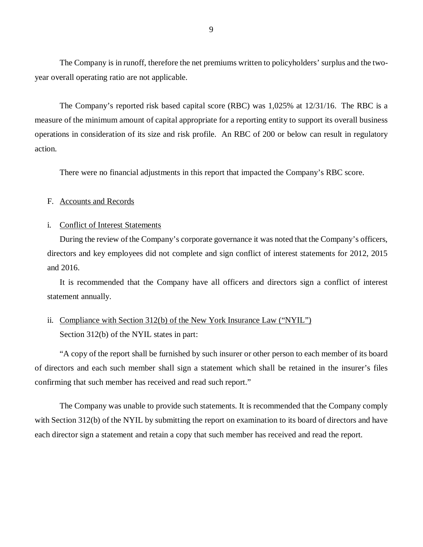<span id="page-10-0"></span>The Company is in runoff, therefore the net premiums written to policyholders' surplus and the twoyear overall operating ratio are not applicable.

The Company's reported risk based capital score (RBC) was 1,025% at 12/31/16. The RBC is a measure of the minimum amount of capital appropriate for a reporting entity to support its overall business operations in consideration of its size and risk profile. An RBC of 200 or below can result in regulatory action.

There were no financial adjustments in this report that impacted the Company's RBC score.

## F. Accounts and Records

## i. Conflict of Interest Statements

During the review of the Company's corporate governance it was noted that the Company's officers, directors and key employees did not complete and sign conflict of interest statements for 2012, 2015 and 2016.

It is recommended that the Company have all officers and directors sign a conflict of interest statement annually.

# ii. Compliance with Section 312(b) of the New York Insurance Law ("NYIL") Section 312(b) of the NYIL states in part:

"A copy of the report shall be furnished by such insurer or other person to each member of its board of directors and each such member shall sign a statement which shall be retained in the insurer's files confirming that such member has received and read such report."

The Company was unable to provide such statements. It is recommended that the Company comply with Section 312(b) of the NYIL by submitting the report on examination to its board of directors and have each director sign a statement and retain a copy that such member has received and read the report.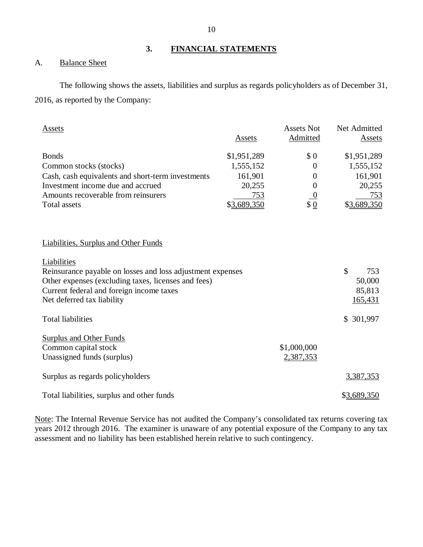## **3. FINANCIAL STATEMENTS**

## A. Balance Sheet

The following shows the assets, liabilities and surplus as regards policyholders as of December 31, 2016, as reported by the Company:

| <b>Assets</b>                                              |             | <b>Assets Not</b> | Net Admitted |
|------------------------------------------------------------|-------------|-------------------|--------------|
|                                                            | Assets      | <b>Admitted</b>   | Assets       |
| <b>Bonds</b>                                               | \$1,951,289 | \$0               | \$1,951,289  |
| Common stocks (stocks)                                     | 1,555,152   | $\Omega$          | 1,555,152    |
| Cash, cash equivalents and short-term investments          | 161,901     | $\overline{0}$    | 161,901      |
| Investment income due and accrued                          | 20,255      | $\overline{0}$    | 20,255       |
| Amounts recoverable from reinsurers                        | 753         | $\overline{0}$    | 753          |
| <b>Total assets</b>                                        | \$3,689,350 | \$ <u>0</u>       | \$3,689,350  |
| <b>Liabilities, Surplus and Other Funds</b>                |             |                   |              |
|                                                            |             |                   |              |
| Liabilities                                                |             |                   |              |
| Reinsurance payable on losses and loss adjustment expenses |             |                   | \$<br>753    |
| Other expenses (excluding taxes, licenses and fees)        |             |                   | 50,000       |
| Current federal and foreign income taxes                   |             |                   | 85,813       |
| Net deferred tax liability                                 |             |                   | 165,431      |
| <b>Total liabilities</b>                                   |             |                   | \$ 301,997   |
| <b>Surplus and Other Funds</b>                             |             |                   |              |
| Common capital stock                                       |             | \$1,000,000       |              |
| Unassigned funds (surplus)                                 |             | 2,387,353         |              |
| Surplus as regards policyholders                           |             |                   | 3,387,353    |
| Total liabilities, surplus and other funds                 |             |                   | \$3,689,350  |

Note: The Internal Revenue Service has not audited the Company's consolidated tax returns covering tax years 2012 through 2016. The examiner is unaware of any potential exposure of the Company to any tax assessment and no liability has been established herein relative to such contingency.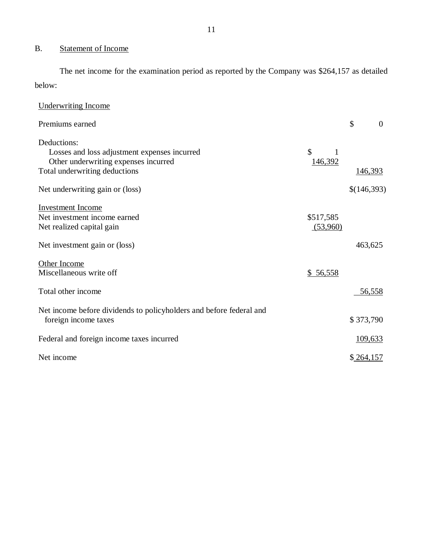# <span id="page-12-0"></span>B. Statement of Income

The net income for the examination period as reported by the Company was \$264,157 as detailed below:

| <b>Underwriting Income</b>                                                                                                                                        |                                   |                      |
|-------------------------------------------------------------------------------------------------------------------------------------------------------------------|-----------------------------------|----------------------|
| Premiums earned                                                                                                                                                   |                                   | \$<br>$\overline{0}$ |
| Deductions:<br>Losses and loss adjustment expenses incurred<br>Other underwriting expenses incurred<br>Total underwriting deductions                              | \$<br>1<br>146,392                | <u>146,393</u>       |
| Net underwriting gain or (loss)                                                                                                                                   |                                   | \$(146,393)          |
| <b>Investment Income</b><br>Net investment income earned<br>Net realized capital gain<br>Net investment gain or (loss)<br>Other Income<br>Miscellaneous write off | \$517,585<br>(53,960)<br>\$56,558 | 463,625              |
| Total other income                                                                                                                                                |                                   | 56,558               |
| Net income before dividends to policyholders and before federal and<br>foreign income taxes                                                                       |                                   | \$373,790            |
| Federal and foreign income taxes incurred                                                                                                                         |                                   | <u>109,633</u>       |
| Net income                                                                                                                                                        |                                   | \$264,157            |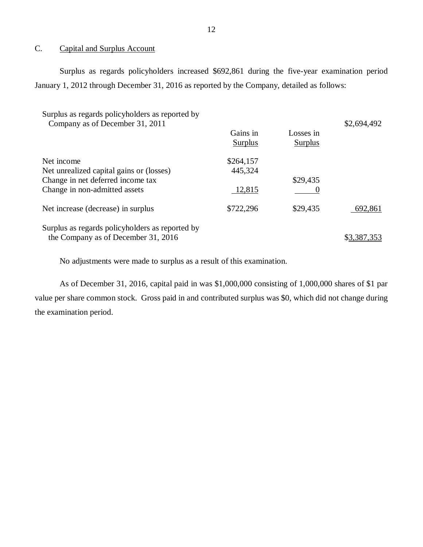## C. Capital and Surplus Account

Surplus as regards policyholders increased \$692,861 during the five-year examination period January 1, 2012 through December 31, 2016 as reported by the Company, detailed as follows:

| Surplus as regards policyholders as reported by                                        |                     |                             | \$2,694,492 |
|----------------------------------------------------------------------------------------|---------------------|-----------------------------|-------------|
| Company as of December 31, 2011                                                        | Gains in<br>Surplus | Losses in<br><b>Surplus</b> |             |
| Net income                                                                             | \$264,157           |                             |             |
| Net unrealized capital gains or (losses)                                               | 445,324             |                             |             |
| Change in net deferred income tax                                                      |                     | \$29,435                    |             |
| Change in non-admitted assets                                                          | 12,815              |                             |             |
| Net increase (decrease) in surplus                                                     | \$722,296           | \$29,435                    | 692,861     |
| Surplus as regards policyholders as reported by<br>the Company as of December 31, 2016 |                     |                             | \$3.387.353 |

No adjustments were made to surplus as a result of this examination.

As of December 31, 2016, capital paid in was \$1,000,000 consisting of 1,000,000 shares of \$1 par value per share common stock. Gross paid in and contributed surplus was \$0, which did not change during the examination period.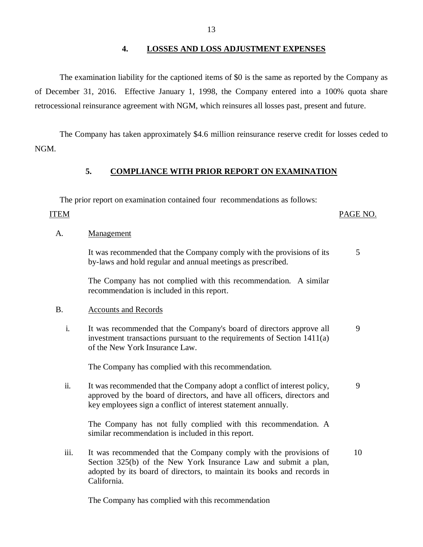## **4. LOSSES AND LOSS ADJUSTMENT EXPENSES**

The examination liability for the captioned items of \$0 is the same as reported by the Company as of December 31, 2016. Effective January 1, 1998, the Company entered into a 100% quota share retrocessional reinsurance agreement with NGM, which reinsures all losses past, present and future.

The Company has taken approximately \$4.6 million reinsurance reserve credit for losses ceded to NGM.

# **5. COMPLIANCE WITH PRIOR REPORT ON EXAMINATION**

The prior report on examination contained four recommendations as follows:

## ITEM PAGE NO.

## A. Management

It was recommended that the Company comply with the provisions of its by-laws and hold regular and annual meetings as prescribed. 5

The Company has not complied with this recommendation. A similar recommendation is included in this report.

## B. Accounts and Records

i. It was recommended that the Company's board of directors approve all investment transactions pursuant to the requirements of Section 1411(a) of the New York Insurance Law. 9

The Company has complied with this recommendation.

ii. It was recommended that the Company adopt a conflict of interest policy, approved by the board of directors, and have all officers, directors and key employees sign a conflict of interest statement annually. 9

The Company has not fully complied with this recommendation. A similar recommendation is included in this report.

iii. It was recommended that the Company comply with the provisions of Section 325(b) of the New York Insurance Law and submit a plan, adopted by its board of directors, to maintain its books and records in California. 10

The Company has complied with this recommendation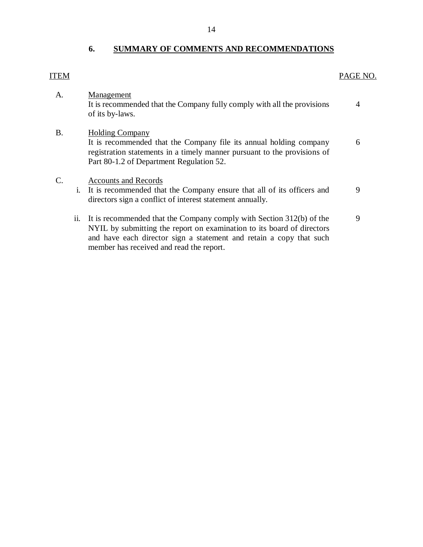# **6. SUMMARY OF COMMENTS AND RECOMMENDATIONS**

# <span id="page-15-0"></span>ITEM

## PAGE NO.

| A.              |     | Management<br>It is recommended that the Company fully comply with all the provisions<br>of its by-laws.                                                                                                              | 4 |
|-----------------|-----|-----------------------------------------------------------------------------------------------------------------------------------------------------------------------------------------------------------------------|---|
| <b>B.</b>       |     | <b>Holding Company</b><br>It is recommended that the Company file its annual holding company<br>registration statements in a timely manner pursuant to the provisions of<br>Part 80-1.2 of Department Regulation 52.  | 6 |
| $\mathcal{C}$ . | 1.  | <b>Accounts and Records</b><br>It is recommended that the Company ensure that all of its officers and<br>directors sign a conflict of interest statement annually.                                                    | 9 |
|                 | 11. | It is recommended that the Company comply with Section 312(b) of the<br>NYIL by submitting the report on examination to its board of directors<br>and have each director sign a statement and retain a copy that such | 9 |

member has received and read the report.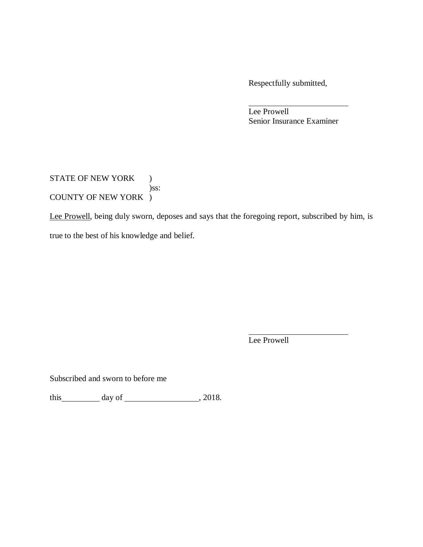Respectfully submitted,

Lee Prowell Senior Insurance Examiner

STATE OF NEW YORK ) )ss: COUNTY OF NEW YORK )

Lee Prowell, being duly sworn, deposes and says that the foregoing report, subscribed by him, is true to the best of his knowledge and belief.

Lee Prowell

Subscribed and sworn to before me

this  $\qquad \qquad \text{day of} \qquad \qquad 2018.$